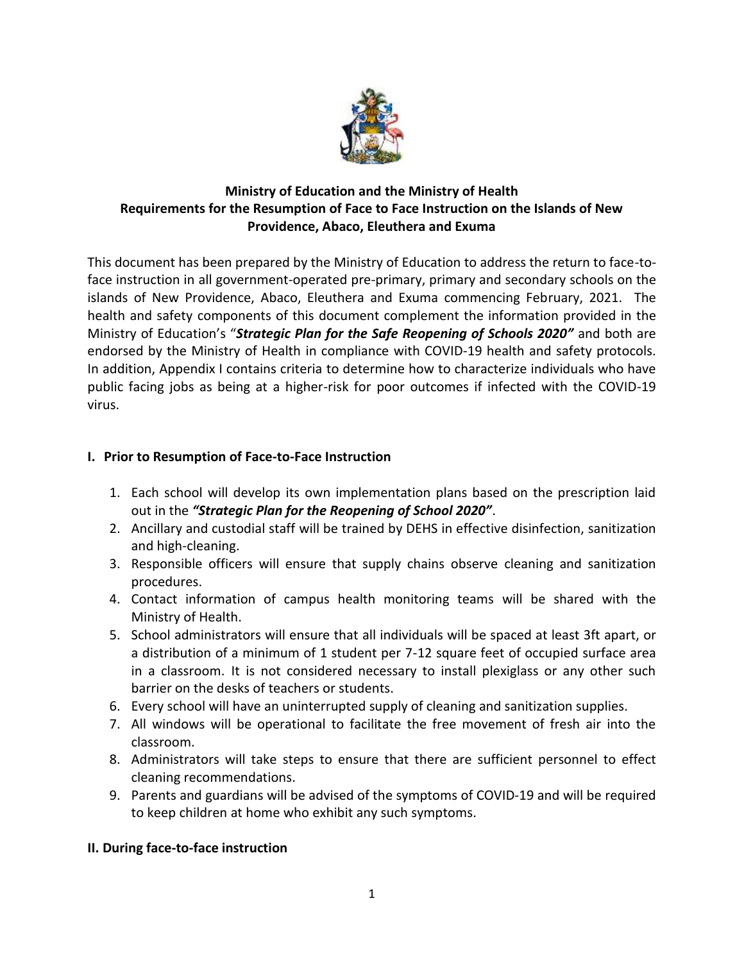

# **Ministry of Education and the Ministry of Health Requirements for the Resumption of Face to Face Instruction on the Islands of New Providence, Abaco, Eleuthera and Exuma**

This document has been prepared by the Ministry of Education to address the return to face-toface instruction in all government-operated pre-primary, primary and secondary schools on the islands of New Providence, Abaco, Eleuthera and Exuma commencing February, 2021. The health and safety components of this document complement the information provided in the Ministry of Education's "*Strategic Plan for the Safe Reopening of Schools 2020"* and both are endorsed by the Ministry of Health in compliance with COVID-19 health and safety protocols. In addition, Appendix I contains criteria to determine how to characterize individuals who have public facing jobs as being at a higher-risk for poor outcomes if infected with the COVID-19 virus.

## **I. Prior to Resumption of Face-to-Face Instruction**

- 1. Each school will develop its own implementation plans based on the prescription laid out in the *"Strategic Plan for the Reopening of School 2020"*.
- 2. Ancillary and custodial staff will be trained by DEHS in effective disinfection, sanitization and high-cleaning.
- 3. Responsible officers will ensure that supply chains observe cleaning and sanitization procedures.
- 4. Contact information of campus health monitoring teams will be shared with the Ministry of Health.
- 5. School administrators will ensure that all individuals will be spaced at least 3ft apart, or a distribution of a minimum of 1 student per 7-12 square feet of occupied surface area in a classroom. It is not considered necessary to install plexiglass or any other such barrier on the desks of teachers or students.
- 6. Every school will have an uninterrupted supply of cleaning and sanitization supplies.
- 7. All windows will be operational to facilitate the free movement of fresh air into the classroom.
- 8. Administrators will take steps to ensure that there are sufficient personnel to effect cleaning recommendations.
- 9. Parents and guardians will be advised of the symptoms of COVID-19 and will be required to keep children at home who exhibit any such symptoms.

### **II. During face-to-face instruction**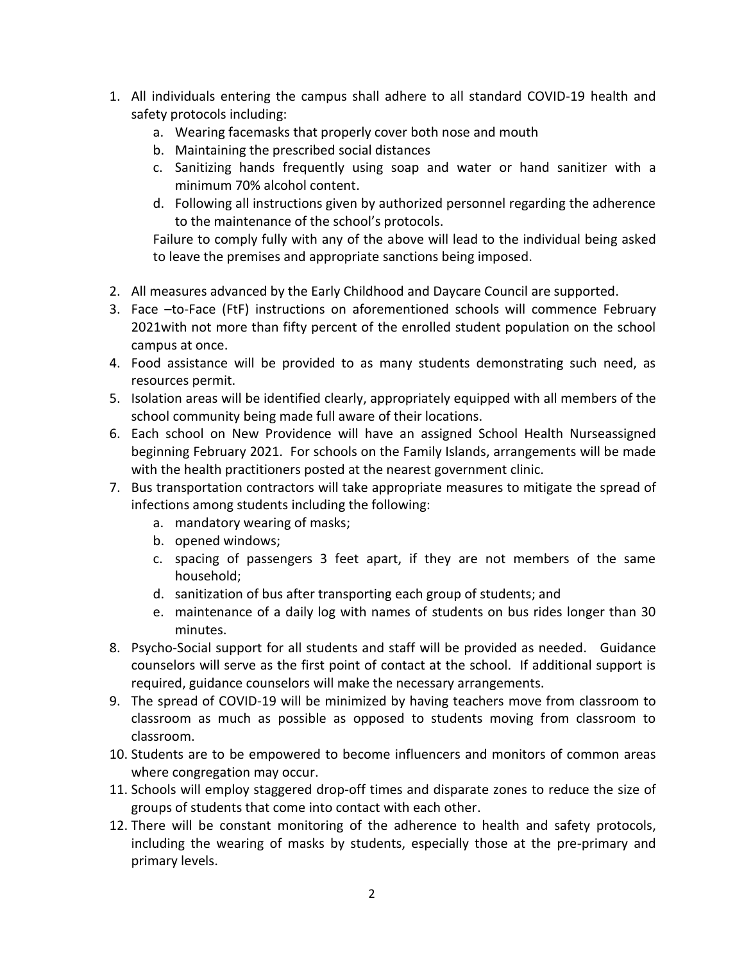- 1. All individuals entering the campus shall adhere to all standard COVID-19 health and safety protocols including:
	- a. Wearing facemasks that properly cover both nose and mouth
	- b. Maintaining the prescribed social distances
	- c. Sanitizing hands frequently using soap and water or hand sanitizer with a minimum 70% alcohol content.
	- d. Following all instructions given by authorized personnel regarding the adherence to the maintenance of the school's protocols.

Failure to comply fully with any of the above will lead to the individual being asked to leave the premises and appropriate sanctions being imposed.

- 2. All measures advanced by the Early Childhood and Daycare Council are supported.
- 3. Face –to-Face (FtF) instructions on aforementioned schools will commence February 2021with not more than fifty percent of the enrolled student population on the school campus at once.
- 4. Food assistance will be provided to as many students demonstrating such need, as resources permit.
- 5. Isolation areas will be identified clearly, appropriately equipped with all members of the school community being made full aware of their locations.
- 6. Each school on New Providence will have an assigned School Health Nurseassigned beginning February 2021. For schools on the Family Islands, arrangements will be made with the health practitioners posted at the nearest government clinic.
- 7. Bus transportation contractors will take appropriate measures to mitigate the spread of infections among students including the following:
	- a. mandatory wearing of masks;
	- b. opened windows;
	- c. spacing of passengers 3 feet apart, if they are not members of the same household;
	- d. sanitization of bus after transporting each group of students; and
	- e. maintenance of a daily log with names of students on bus rides longer than 30 minutes.
- 8. Psycho-Social support for all students and staff will be provided as needed. Guidance counselors will serve as the first point of contact at the school. If additional support is required, guidance counselors will make the necessary arrangements.
- 9. The spread of COVID-19 will be minimized by having teachers move from classroom to classroom as much as possible as opposed to students moving from classroom to classroom.
- 10. Students are to be empowered to become influencers and monitors of common areas where congregation may occur.
- 11. Schools will employ staggered drop-off times and disparate zones to reduce the size of groups of students that come into contact with each other.
- 12. There will be constant monitoring of the adherence to health and safety protocols, including the wearing of masks by students, especially those at the pre-primary and primary levels.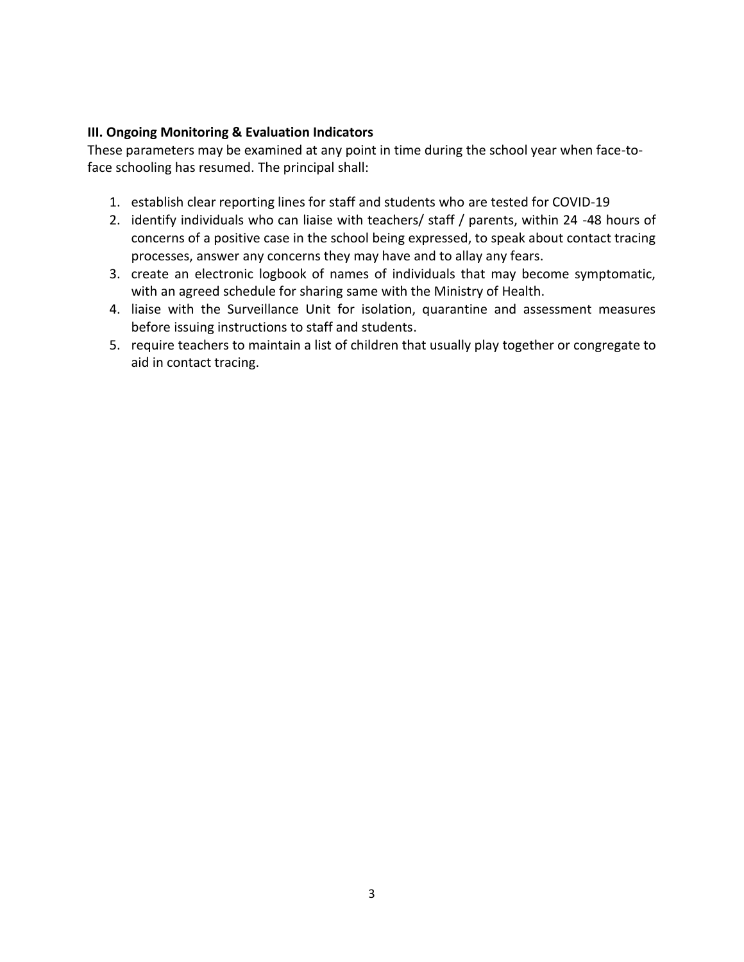### **III. Ongoing Monitoring & Evaluation Indicators**

These parameters may be examined at any point in time during the school year when face-toface schooling has resumed. The principal shall:

- 1. establish clear reporting lines for staff and students who are tested for COVID-19
- 2. identify individuals who can liaise with teachers/ staff / parents, within 24 -48 hours of concerns of a positive case in the school being expressed, to speak about contact tracing processes, answer any concerns they may have and to allay any fears.
- 3. create an electronic logbook of names of individuals that may become symptomatic, with an agreed schedule for sharing same with the Ministry of Health.
- 4. liaise with the Surveillance Unit for isolation, quarantine and assessment measures before issuing instructions to staff and students.
- 5. require teachers to maintain a list of children that usually play together or congregate to aid in contact tracing.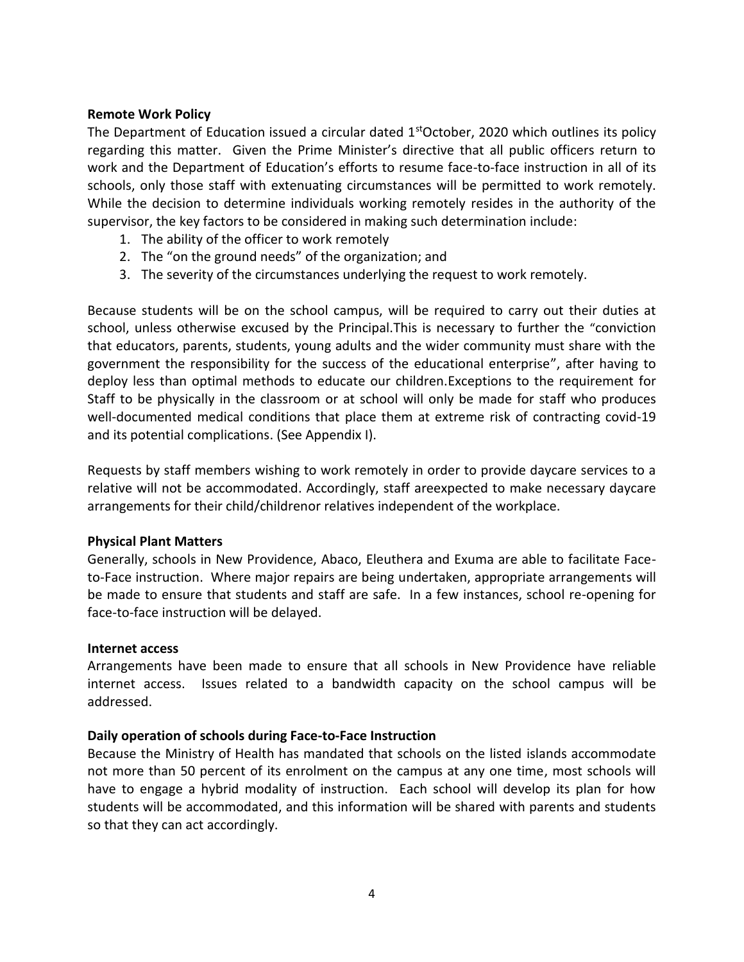#### **Remote Work Policy**

The Department of Education issued a circular dated  $1<sup>st</sup>October$ , 2020 which outlines its policy regarding this matter. Given the Prime Minister's directive that all public officers return to work and the Department of Education's efforts to resume face-to-face instruction in all of its schools, only those staff with extenuating circumstances will be permitted to work remotely. While the decision to determine individuals working remotely resides in the authority of the supervisor, the key factors to be considered in making such determination include:

- 1. The ability of the officer to work remotely
- 2. The "on the ground needs" of the organization; and
- 3. The severity of the circumstances underlying the request to work remotely.

Because students will be on the school campus, will be required to carry out their duties at school, unless otherwise excused by the Principal.This is necessary to further the "conviction that educators, parents, students, young adults and the wider community must share with the government the responsibility for the success of the educational enterprise", after having to deploy less than optimal methods to educate our children.Exceptions to the requirement for Staff to be physically in the classroom or at school will only be made for staff who produces well-documented medical conditions that place them at extreme risk of contracting covid-19 and its potential complications. (See Appendix I).

Requests by staff members wishing to work remotely in order to provide daycare services to a relative will not be accommodated. Accordingly, staff areexpected to make necessary daycare arrangements for their child/childrenor relatives independent of the workplace.

#### **Physical Plant Matters**

Generally, schools in New Providence, Abaco, Eleuthera and Exuma are able to facilitate Faceto-Face instruction. Where major repairs are being undertaken, appropriate arrangements will be made to ensure that students and staff are safe. In a few instances, school re-opening for face-to-face instruction will be delayed.

#### **Internet access**

Arrangements have been made to ensure that all schools in New Providence have reliable internet access. Issues related to a bandwidth capacity on the school campus will be addressed.

#### **Daily operation of schools during Face-to-Face Instruction**

Because the Ministry of Health has mandated that schools on the listed islands accommodate not more than 50 percent of its enrolment on the campus at any one time, most schools will have to engage a hybrid modality of instruction. Each school will develop its plan for how students will be accommodated, and this information will be shared with parents and students so that they can act accordingly.